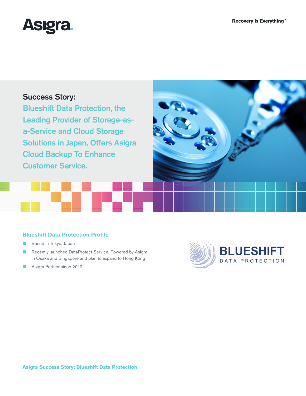

# Success Story:

Blueshift Data Protection, the Leading Provider of Storage-asa-Service and Cloud Storage Solutions in Japan, Offers Asigra Cloud Backup To Enhance Customer Service.

## **Blueshift Data Protection Profile**

- Based in Tokyo, Japan
- Recently launched DataProtect Service, Powered by Asigra, in Osaka and Singapore and plan to expand to Hong Kong
- Asigra Partner since 2012

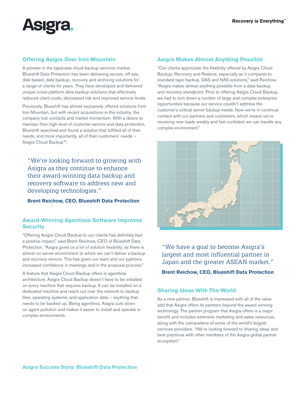

### **Offering Asigra Over Iron Mountain**

A pioneer in the Japanese cloud backup services market, Blueshift Data Protection has been delivering secure, off-site, disk-based, data backup, recovery and archiving solutions for a range of clients for years. They have developed and delivered unique cross-platform data backup solutions that effectively reduced client costs, decreased risk and improved service levels.

Previously, Blueshift has almost exclusively offered solutions from Iron Mountain, but with recent acquisitions in the industry, the company lost contacts and market momentum. With a desire to maintain their high level of customer service and data protection, Blueshift searched and found a solution that fulfilled all of their needs, and more importantly, all of their customers' needs – Asigra Cloud Backup™.

"We're looking forward to growing with Asigra as they continue to enhance their award-winning data backup and recovery software to address new and developing technologies."

**Brent Reichow, CEO, Blueshift Data Protection**

#### **Award-Winning Agentless Software Improves Security**

"Offering Asigra Cloud Backup to our clients has definitely had a positive impact," said Brent Reichow, CEO of Blueshift Data Protection. "Asigra gives us a lot of solution flexibility, as there is almost no server environment to which we can't deliver a backup and recovery service. This has given our team and our partners increased confidence in meetings and in the proposal process."

A feature that Asigra Cloud Backup offers is agentless architecture. Asigra Cloud Backup doesn't have to be installed on every machine that requires backup. It can be installed on a dedicated machine and reach out over the network to backup files, operating systems, and application data – anything that needs to be backed up. Being agentless, Asigra cuts down on agent pollution and makes it easier to install and operate in complex environments.

### **Asigra Makes Almost Anything Possible**

"Our clients appreciate the flexibility offered by Asigra Cloud Backup, Recovery and Restore, especially as it compares to standard tape backup, DAS and NAS solutions," said Reichow. "Asigra makes almost anything possible from a data backup and recovery standpoint. Prior to offering Asigra Cloud Backup, we had to turn down a number of large and complex enterprise opportunities because our service couldn't address the customer's critical server backup needs. Now we're in continual contact with our partners and customers, which means we're receiving new leads weekly and feel confident we can handle any complex environment."



"We have a goal to become Asigra's largest and most influential partner in Japan and the greater ASEAN market."

**Brent Reichow, CEO, Blueshift Data Protection**

#### **Sharing Ideas With The World**

As a new partner, Blueshift is impressed with all of the value add that Asigra offers its partners beyond the award winning technology. The partner program that Asigra offers is a major benefit and includes extensive marketing and sales resources, along with the camaraderie of some of the world's largest services providers. "We're looking forward to sharing ideas and best practices with other members of the Asigra global partner ecosystem."